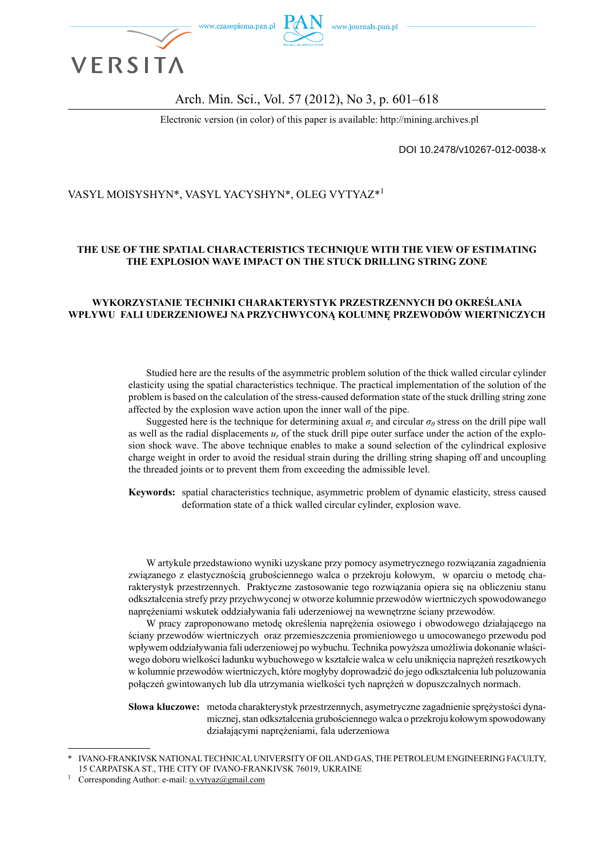

### Arch. Min. Sci., Vol. 57 (2012), No 3, p. 601–618

Electronic version (in color) of this paper is available: http://mining.archives.pl

DOI 10.2478/v10267-012-0038-x

#### VASYL MOISYSHYN\*, VASYL YACYSHYN\*, OLEG VYTYAZ\*<sup>1</sup>

#### **THE USE OF THE SPATIAL CHARACTERISTICS TECHNIQUE WITH THE VIEW OF ESTIMATING THE EXPLOSION WAVE IMPACT ON THE STUCK DRILLING STRING ZONE**

#### **WYKORZYSTANIE TECHNIKI CHARAKTERYSTYK PRZESTRZENNYCH DO OKREŚLANIA WPŁYWU FALI UDERZENIOWEJ NA PRZYCHWYCONĄ KOLUMNĘ PRZEWODÓW WIERTNICZYCH**

Studied here are the results of the asymmetric problem solution of the thick walled circular cylinder elasticity using the spatial characteristics technique. The practical implementation of the solution of the problem is based on the calculation of the stress-caused deformation state of the stuck drilling string zone affected by the explosion wave action upon the inner wall of the pipe.

Suggested here is the technique for determining axual  $\sigma_z$  and circular  $\sigma_\theta$  stress on the drill pipe wall as well as the radial displacements  $u_r$  of the stuck drill pipe outer surface under the action of the explosion shock wave. The above technique enables to make a sound selection of the cylindrical explosive charge weight in order to avoid the residual strain during the drilling string shaping off and uncoupling the threaded joints or to prevent them from exceeding the admissible level.

**Keywords:** spatial characteristics technique, asymmetric problem of dynamic elasticity, stress caused deformation state of a thick walled circular cylinder, explosion wave.

W artykule przedstawiono wyniki uzyskane przy pomocy asymetrycznego rozwiązania zagadnienia związanego z elastycznością grubościennego walca o przekroju kołowym, w oparciu o metodę charakterystyk przestrzennych. Praktyczne zastosowanie tego rozwiązania opiera się na obliczeniu stanu odkształcenia strefy przy przychwyconej w otworze kolumnie przewodów wiertniczych spowodowanego naprężeniami wskutek oddziaływania fali uderzeniowej na wewnętrzne ściany przewodów.

W pracy zaproponowano metodę określenia naprężenia osiowego i obwodowego działającego na ściany przewodów wiertniczych oraz przemieszczenia promieniowego u umocowanego przewodu pod wpływem oddziaływania fali uderzeniowej po wybuchu. Technika powyższa umożliwia dokonanie właściwego doboru wielkości ładunku wybuchowego w kształcie walca w celu uniknięcia naprężeń resztkowych w kolumnie przewodów wiertniczych, które mogłyby doprowadzić do jego odkształcenia lub poluzowania połączeń gwintowanych lub dla utrzymania wielkości tych naprężeń w dopuszczalnych normach.

**Słowa kluczowe:** metoda charakterystyk przestrzennych, asymetryczne zagadnienie sprężystości dynamicznej, stan odkształcenia grubościennego walca o przekroju kołowym spowodowany działającymi naprężeniami, fala uderzeniowa

IVANO-FRANKIVSK NATIONAL TECHNICAL UNIVERSITY OF OIL AND GAS. THE PETROLEUM ENGINEERING FACULTY, 15 CARPATSKA ST., THE CITY OF IVANO-FRANKIVSK 76019, UKRAINE

<sup>1</sup> Corresponding Author: e-mail: 0.vytyaz@gmail.com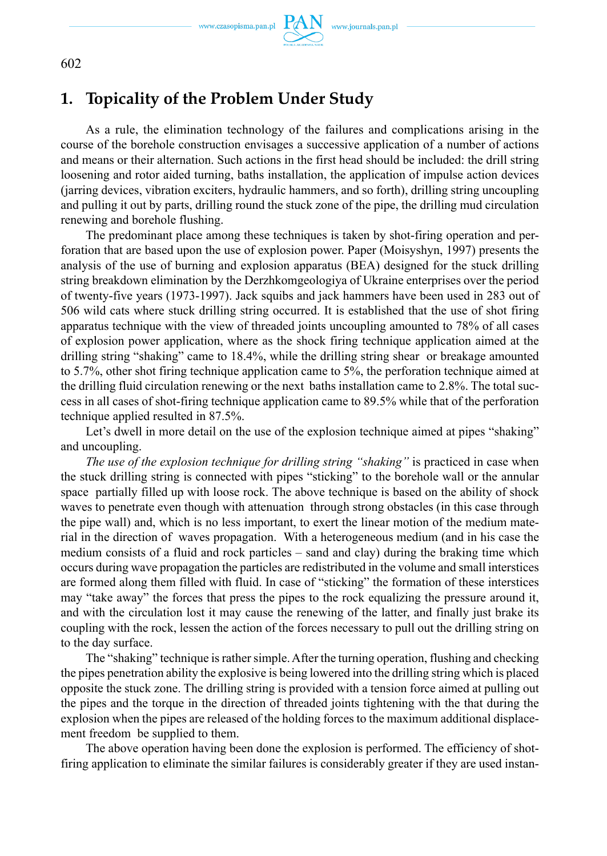

# **1. Topicality of the Problem Under Study**

As a rule, the elimination technology of the failures and complications arising in the course of the borehole construction envisages a successive application of a number of actions and means or their alternation. Such actions in the first head should be included: the drill string loosening and rotor aided turning, baths installation, the application of impulse action devices (jarring devices, vibration exciters, hydraulic hammers, and so forth), drilling string uncoupling and pulling it out by parts, drilling round the stuck zone of the pipe, the drilling mud circulation renewing and borehole flushing.

The predominant place among these techniques is taken by shot-firing operation and perforation that are based upon the use of explosion power. Paper (Moisyshyn, 1997) presents the analysis of the use of burning and explosion apparatus (BEA) designed for the stuck drilling string breakdown elimination by the Derzhkomgeologiya of Ukraine enterprises over the period of twenty-five years (1973-1997). Jack squibs and jack hammers have been used in 283 out of 506 wild cats where stuck drilling string occurred. It is established that the use of shot firing apparatus technique with the view of threaded joints uncoupling amounted to 78% of all cases of explosion power application, where as the shock firing technique application aimed at the drilling string "shaking" came to 18.4%, while the drilling string shear or breakage amounted to 5.7%, other shot firing technique application came to 5%, the perforation technique aimed at the drilling fluid circulation renewing or the next baths installation came to 2.8%. The total success in all cases of shot-firing technique application came to 89.5% while that of the perforation technique applied resulted in 87.5%.

Let's dwell in more detail on the use of the explosion technique aimed at pipes "shaking" and uncoupling.

*The use of the explosion technique for drilling string "shaking"* is practiced in case when the stuck drilling string is connected with pipes "sticking" to the borehole wall or the annular space partially filled up with loose rock. The above technique is based on the ability of shock waves to penetrate even though with attenuation through strong obstacles (in this case through the pipe wall) and, which is no less important, to exert the linear motion of the medium material in the direction of waves propagation. With a heterogeneous medium (and in his case the medium consists of a fluid and rock particles – sand and clay) during the braking time which occurs during wave propagation the particles are redistributed in the volume and small interstices are formed along them filled with fluid. In case of "sticking" the formation of these interstices may "take away" the forces that press the pipes to the rock equalizing the pressure around it, and with the circulation lost it may cause the renewing of the latter, and finally just brake its coupling with the rock, lessen the action of the forces necessary to pull out the drilling string on to the day surface.

The "shaking" technique is rather simple. After the turning operation, flushing and checking the pipes penetration ability the explosive is being lowered into the drilling string which is placed opposite the stuck zone. The drilling string is provided with a tension force aimed at pulling out the pipes and the torque in the direction of threaded joints tightening with the that during the explosion when the pipes are released of the holding forces to the maximum additional displacement freedom be supplied to them.

The above operation having been done the explosion is performed. The efficiency of shotfiring application to eliminate the similar failures is considerably greater if they are used instan-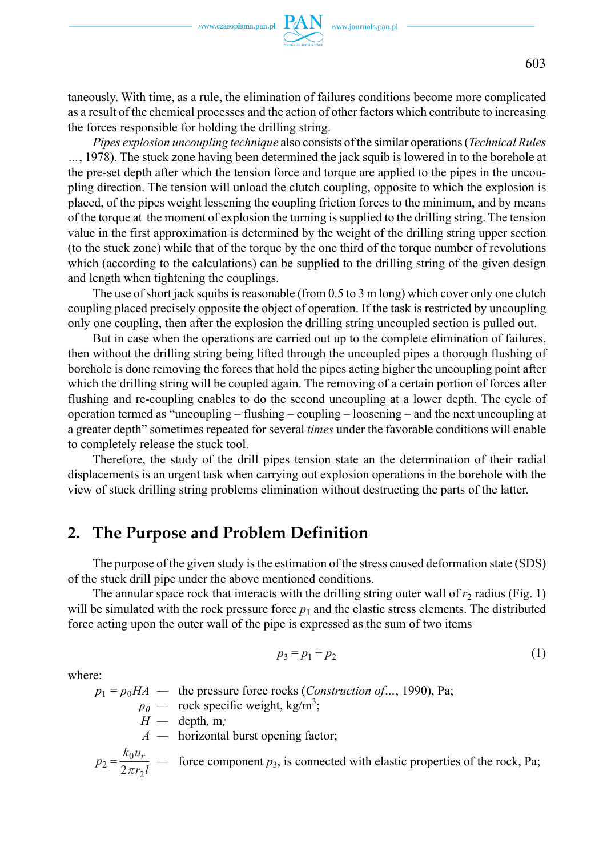

taneously. With time, as a rule, the elimination of failures conditions become more complicated as a result of the chemical processes and the action of other factors which contribute to increasing the forces responsible for holding the drilling string.

*Pipes explosion uncoupling technique* also consists of the similar operations (*Technical Rules …*, 1978). The stuck zone having been determined the jack squib is lowered in to the borehole at the pre-set depth after which the tension force and torque are applied to the pipes in the uncoupling direction. The tension will unload the clutch coupling, opposite to which the explosion is placed, of the pipes weight lessening the coupling friction forces to the minimum, and by means of the torque at the moment of explosion the turning is supplied to the drilling string. The tension value in the first approximation is determined by the weight of the drilling string upper section (to the stuck zone) while that of the torque by the one third of the torque number of revolutions which (according to the calculations) can be supplied to the drilling string of the given design and length when tightening the couplings.

The use of short jack squibs is reasonable (from 0.5 to 3 m long) which cover only one clutch coupling placed precisely opposite the object of operation. If the task is restricted by uncoupling only one coupling, then after the explosion the drilling string uncoupled section is pulled out.

But in case when the operations are carried out up to the complete elimination of failures, then without the drilling string being lifted through the uncoupled pipes a thorough flushing of borehole is done removing the forces that hold the pipes acting higher the uncoupling point after which the drilling string will be coupled again. The removing of a certain portion of forces after flushing and re-coupling enables to do the second uncoupling at a lower depth. The cycle of operation termed as "uncoupling – flushing – coupling – loosening – and the next uncoupling at a greater depth" sometimes repeated for several *times* under the favorable conditions will enable to completely release the stuck tool.

Therefore, the study of the drill pipes tension state an the determination of their radial displacements is an urgent task when carrying out explosion operations in the borehole with the view of stuck drilling string problems elimination without destructing the parts of the latter.

## **2. The Purpose and Problem Definition**

The purpose of the given study is the estimation of the stress caused deformation state (SDS) of the stuck drill pipe under the above mentioned conditions.

The annular space rock that interacts with the drilling string outer wall of  $r<sub>2</sub>$  radius (Fig. 1) will be simulated with the rock pressure force  $p_1$  and the elastic stress elements. The distributed force acting upon the outer wall of the pipe is expressed as the sum of two items

$$
p_3 = p_1 + p_2 \tag{1}
$$

where:

$$
p_1 = \rho_0 HA
$$
 — the pressure force rocks (*Construction of*..., 1990), Pa;  

$$
\rho_0
$$
 — rock specific weight, kg/m<sup>3</sup>;

 *H —* depth*,* m*;* 

*A* — horizontal burst opening factor;

$$
p_2 = \frac{k_0 u_r}{2\pi r_2 l}
$$
 - force component  $p_3$ , is connected with elastic properties of the rock, Pa;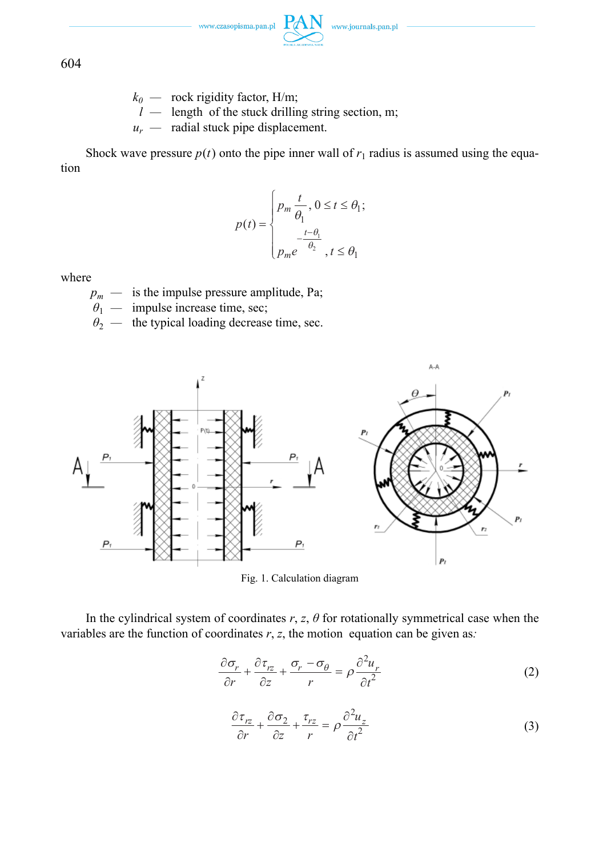www.czasopisma.pan.pl  $\Gamma$ 

 $\,$ www.journals.pan.pl



604

- $k_0$  rock rigidity factor, H/m;
- $\mu$  length of the stuck drilling string section, m;

*ur —* radial stuck pipe displacement.

Shock wave pressure  $p(t)$  onto the pipe inner wall of  $r_1$  radius is assumed using the equation

$$
p(t) = \begin{cases} p_m \frac{t}{\theta_1}, & 0 \le t \le \theta_1; \\ \frac{t - \theta_1}{\theta_2}, & t \le \theta_1 \end{cases}
$$

where

- $p_m$  is the impulse pressure amplitude, Pa;
- $\theta_1$  impulse increase time, sec;
- $\theta_2$  the typical loading decrease time, sec.



Fig. 1. Calculation diagram

In the cylindrical system of coordinates  $r$ ,  $z$ ,  $\theta$  for rotationally symmetrical case when the variables are the function of coordinates *r*, *z*, the motion equation can be given as*:*

$$
\frac{\partial \sigma_r}{\partial r} + \frac{\partial \tau_{rz}}{\partial z} + \frac{\sigma_r - \sigma_\theta}{r} = \rho \frac{\partial^2 u_r}{\partial t^2}
$$
 (2)

$$
\frac{\partial \tau_{rz}}{\partial r} + \frac{\partial \sigma_2}{\partial z} + \frac{\tau_{rz}}{r} = \rho \frac{\partial^2 u_z}{\partial t^2}
$$
 (3)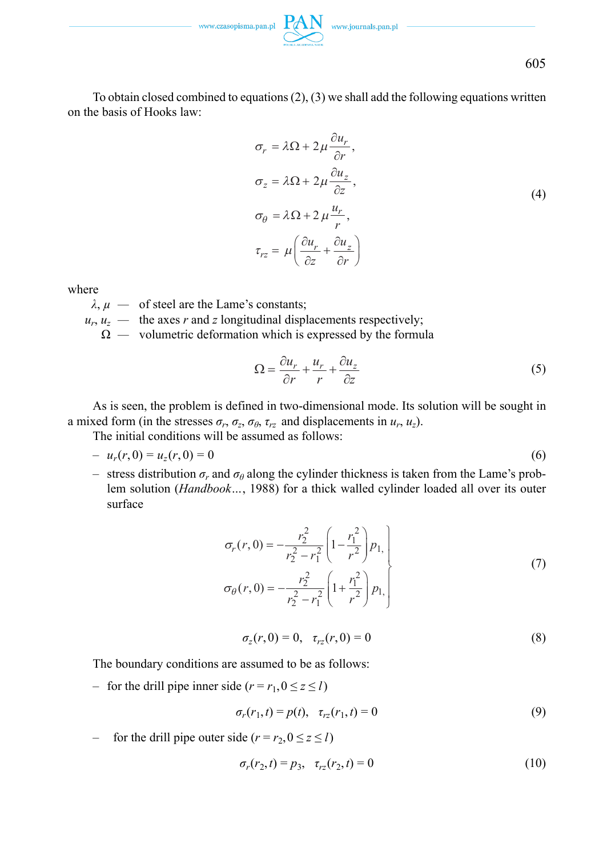$\hspace*{2.5cm}\text{www.czasopisma.pan.pl}\ \underset{\hspace{2.2cm}\longrightarrow\hspace{2.2cm} }{P\hspace{-0.2cm}\not\!\!\!\!\! A N}\quad \text{www.journals.pan.pl}$ 

605

To obtain closed combined to equations (2), (3) we shall add the following equations written on the basis of Hooks law:

$$
\sigma_r = \lambda \Omega + 2\mu \frac{\partial u_r}{\partial r},
$$
  
\n
$$
\sigma_z = \lambda \Omega + 2\mu \frac{\partial u_z}{\partial z},
$$
  
\n
$$
\sigma_\theta = \lambda \Omega + 2\mu \frac{u_r}{r},
$$
  
\n
$$
\tau_{rz} = \mu \left( \frac{\partial u_r}{\partial z} + \frac{\partial u_z}{\partial r} \right)
$$
\n(4)

where

- $λ, μ$  of steel are the Lame's constants;
- $u_r$ ,  $u_z$  the axes *r* and *z* longitudinal displacements respectively;
	- Ωvolumetric deformation which is expressed by the formula

$$
\Omega = \frac{\partial u_r}{\partial r} + \frac{u_r}{r} + \frac{\partial u_z}{\partial z} \tag{5}
$$

As is seen, the problem is defined in two-dimensional mode. Its solution will be sought in a mixed form (in the stresses  $\sigma_r$ ,  $\sigma_z$ ,  $\sigma_\theta$ ,  $\tau_{rz}$  and displacements in  $u_r$ ,  $u_z$ ).

The initial conditions will be assumed as follows:

$$
-u_r(r,0) = u_z(r,0) = 0 \tag{6}
$$

 $-$  stress distribution *σ<sub>r</sub>* and *σ<sub>θ</sub>* along the cylinder thickness is taken from the Lame's problem solution (*Handbook…*, 1988) for a thick walled cylinder loaded all over its outer surface

$$
\sigma_r(r, 0) = -\frac{r_2^2}{r_2^2 - r_1^2} \left( 1 - \frac{r_1^2}{r^2} \right) p_1,
$$
\n
$$
\sigma_\theta(r, 0) = -\frac{r_2^2}{r_2^2 - r_1^2} \left( 1 + \frac{r_1^2}{r^2} \right) p_1,
$$
\n(7)

$$
\sigma_z(r,0) = 0, \quad \tau_{rz}(r,0) = 0 \tag{8}
$$

The boundary conditions are assumed to be as follows:

– for the drill pipe inner side  $(r = r_1, 0 \le z \le l)$ 

$$
\sigma_r(r_1, t) = p(t), \quad \tau_{rz}(r_1, t) = 0 \tag{9}
$$

– for the drill pipe outer side  $(r = r_2, 0 \le z \le l)$ 

$$
\sigma_r(r_2, t) = p_3, \quad \tau_{rz}(r_2, t) = 0 \tag{10}
$$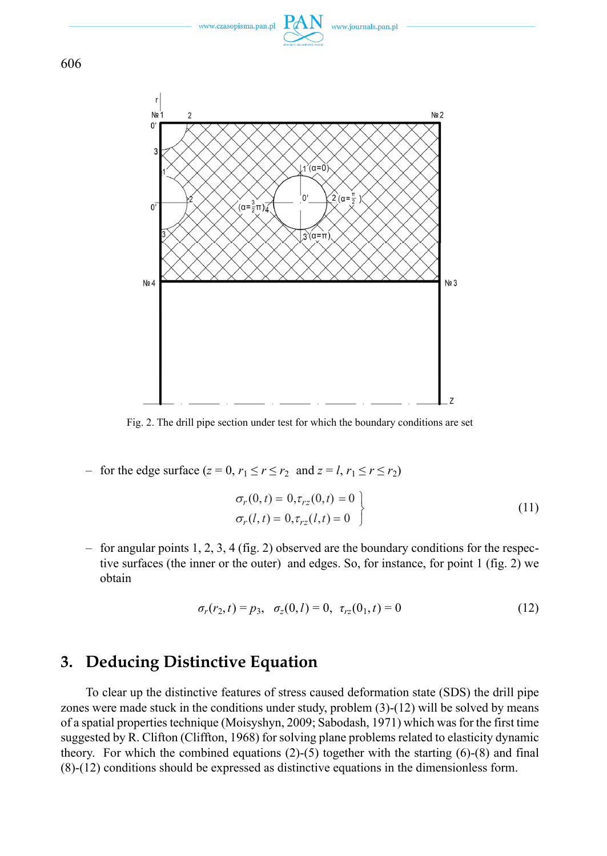



Fig. 2. The drill pipe section under test for which the boundary conditions are set

– for the edge surface  $(z = 0, r_1 \le r \le r_2)$  and  $z = l, r_1 \le r \le r_2$ )

$$
\sigma_r(0,t) = 0, \tau_{rz}(0,t) = 0 \n\sigma_r(l,t) = 0, \tau_{rz}(l,t) = 0
$$
\n(11)

– for angular points  $1, 2, 3, 4$  (fig. 2) observed are the boundary conditions for the respective surfaces (the inner or the outer) and edges. So, for instance, for point 1 (fig. 2) we obtain

$$
\sigma_r(r_2, t) = p_3, \quad \sigma_z(0, l) = 0, \quad \tau_{rz}(0_1, t) = 0 \tag{12}
$$

# **3. Deducing Distinctive Equation**

To clear up the distinctive features of stress caused deformation state (SDS) the drill pipe zones were made stuck in the conditions under study, problem (3)-(12) will be solved by means of a spatial properties technique (Moisyshyn, 2009; Sabodash, 1971) which was for the first time suggested by R. Clifton (Cliffton, 1968) for solving plane problems related to elasticity dynamic theory. For which the combined equations  $(2)-(5)$  together with the starting  $(6)-(8)$  and final (8)-(12) conditions should be expressed as distinctive equations in the dimensionless form.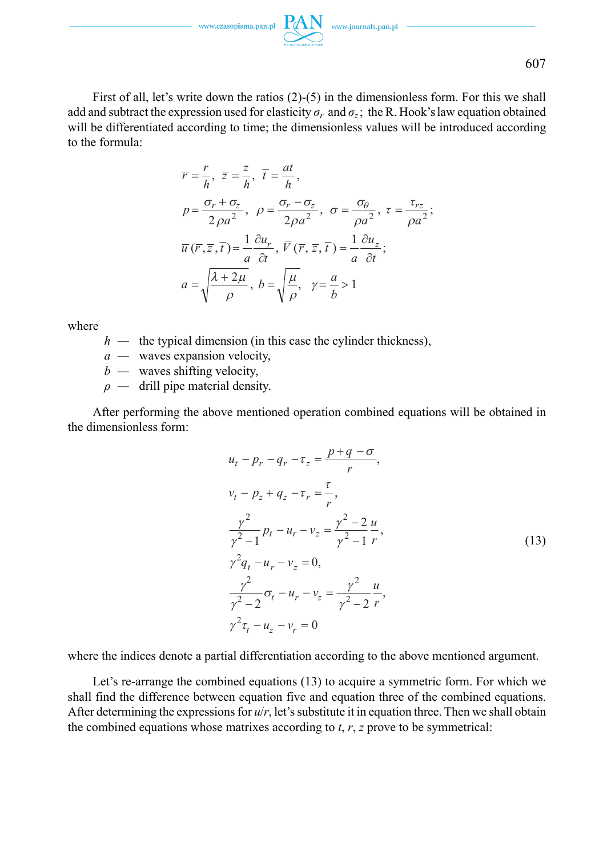First of all, let's write down the ratios (2)-(5) in the dimensionless form. For this we shall add and subtract the expression used for elasticity  $\sigma_r$  and  $\sigma_z$ ; the R. Hook's law equation obtained will be differentiated according to time; the dimensionless values will be introduced according to the formula:

$$
\overline{r} = \frac{r}{h}, \ \overline{z} = \frac{z}{h}, \ \overline{t} = \frac{at}{h},
$$
\n
$$
p = \frac{\sigma_r + \sigma_z}{2\rho a^2}, \ \rho = \frac{\sigma_r - \sigma_z}{2\rho a^2}, \ \sigma = \frac{\sigma_\theta}{\rho a^2}, \ \tau = \frac{\tau_{rz}}{\rho a^2};
$$
\n
$$
\overline{u}(\overline{r}, \overline{z}, \overline{t}) = \frac{1}{a} \frac{\partial u_r}{\partial t}, \ \overline{V}(\overline{r}, \overline{z}, \overline{t}) = \frac{1}{a} \frac{\partial u_z}{\partial t};
$$
\n
$$
a = \sqrt{\frac{\lambda + 2\mu}{\rho}}, \ b = \sqrt{\frac{\mu}{\rho}}, \ \gamma = \frac{a}{b} > 1
$$

where

- $h$  the typical dimension (in this case the cylinder thickness),
- *a* waves expansion velocity,
- *b* waves shifting velocity,
- *ρ* drill pipe material density.

After performing the above mentioned operation combined equations will be obtained in the dimensionless form:

$$
u_{t} - p_{r} - q_{r} - \tau_{z} = \frac{p+q-\sigma}{r},
$$
  
\n
$$
v_{t} - p_{z} + q_{z} - \tau_{r} = \frac{\tau}{r},
$$
  
\n
$$
\frac{\gamma^{2}}{\gamma^{2}-1}p_{t} - u_{r} - v_{z} = \frac{\gamma^{2}-2}{\gamma^{2}-1} \frac{u}{r},
$$
  
\n
$$
\gamma^{2}q_{t} - u_{r} - v_{z} = 0,
$$
  
\n
$$
\frac{\gamma^{2}}{\gamma^{2}-2} \sigma_{t} - u_{r} - v_{z} = \frac{\gamma^{2}}{\gamma^{2}-2} \frac{u}{r},
$$
  
\n
$$
\gamma^{2} \tau_{t} - u_{z} - v_{r} = 0
$$
  
\n(13)

where the indices denote a partial differentiation according to the above mentioned argument.

Let's re-arrange the combined equations (13) to acquire a symmetric form. For which we shall find the difference between equation five and equation three of the combined equations. After determining the expressions for  $u/r$ , let's substitute it in equation three. Then we shall obtain the combined equations whose matrixes according to  $t$ ,  $r$ ,  $z$  prove to be symmetrical: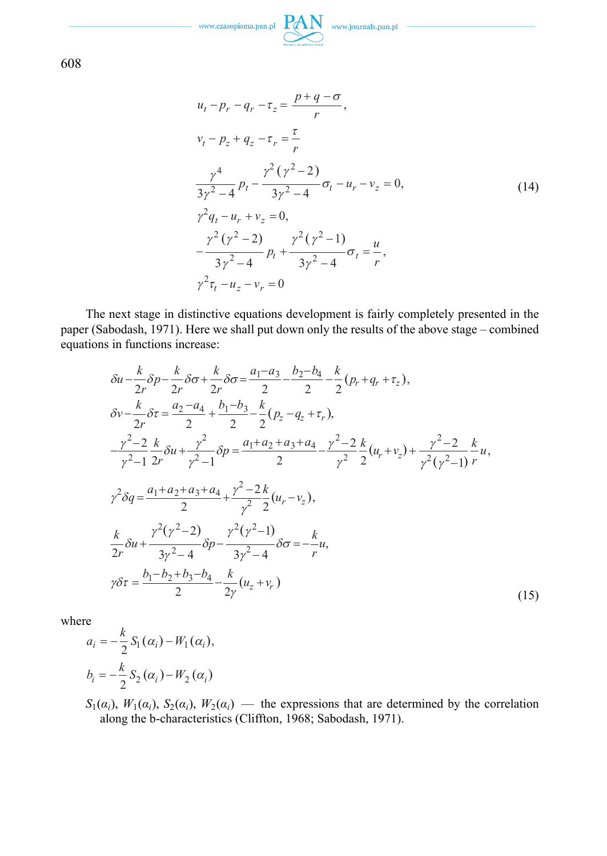

$$
u_{t} - p_{r} - q_{r} - \tau_{z} = \frac{p+q-\sigma}{r},
$$
\n
$$
v_{t} - p_{z} + q_{z} - \tau_{r} = \frac{\tau}{r}
$$
\n
$$
\frac{\gamma^{4}}{3\gamma^{2} - 4} p_{t} - \frac{\gamma^{2}(\gamma^{2} - 2)}{3\gamma^{2} - 4} \sigma_{t} - u_{r} - v_{z} = 0,
$$
\n
$$
\gamma^{2} q_{t} - u_{r} + v_{z} = 0,
$$
\n
$$
\frac{\gamma^{2}(\gamma^{2} - 2)}{3\gamma^{2} - 4} p_{t} + \frac{\gamma^{2}(\gamma^{2} - 1)}{3\gamma^{2} - 4} \sigma_{t} = \frac{u}{r},
$$
\n
$$
\gamma^{2} \tau_{t} - u_{z} - v_{r} = 0
$$
\n(14)

The next stage in distinctive equations development is fairly completely presented in the paper (Sabodash, 1971). Here we shall put down only the results of the above stage – combined equations in functions increase:

$$
\delta u - \frac{k}{2r} \delta p - \frac{k}{2r} \delta \sigma + \frac{k}{2r} \delta \sigma = \frac{a_1 - a_3}{2} - \frac{b_2 - b_4}{2} - \frac{k}{2} (p_r + q_r + \tau_z),
$$
  
\n
$$
\delta v - \frac{k}{2r} \delta \tau = \frac{a_2 - a_4}{2} + \frac{b_1 - b_3}{2} - \frac{k}{2} (p_z - q_z + \tau_r),
$$
  
\n
$$
\frac{\gamma^2 - 2}{\gamma^2 - 1} \frac{k}{2r} \delta u + \frac{\gamma^2}{\gamma^2 - 1} \delta p = \frac{a_1 + a_2 + a_3 + a_4}{2} - \frac{\gamma^2 - 2}{\gamma^2} \frac{k}{2} (u_r + v_z) + \frac{\gamma^2 - 2}{\gamma^2} (v_r^2 - 1) r
$$
  
\n
$$
\gamma^2 \delta q = \frac{a_1 + a_2 + a_3 + a_4}{2} + \frac{\gamma^2 - 2}{\gamma^2} \frac{k}{2} (u_r - v_z),
$$
  
\n
$$
\frac{k}{2r} \delta u + \frac{\gamma^2 (\gamma^2 - 2)}{3\gamma^2 - 4} \delta p - \frac{\gamma^2 (\gamma^2 - 1)}{3\gamma^2 - 4} \delta \sigma = -\frac{k}{r} u,
$$
  
\n
$$
\gamma \delta \tau = \frac{b_1 - b_2 + b_3 - b_4}{2} - \frac{k}{2\gamma} (u_z + v_r)
$$
 (15)

where

$$
a_i = -\frac{k}{2} S_1(\alpha_i) - W_1(\alpha_i),
$$
  

$$
b_i = -\frac{k}{2} S_2(\alpha_i) - W_2(\alpha_i)
$$

 $S_1(\alpha_i)$ ,  $W_1(\alpha_i)$ ,  $S_2(\alpha_i)$ ,  $W_2(\alpha_i)$  — the expressions that are determined by the correlation along the b-characteristics (Cliffton, 1968; Sabodash, 1971).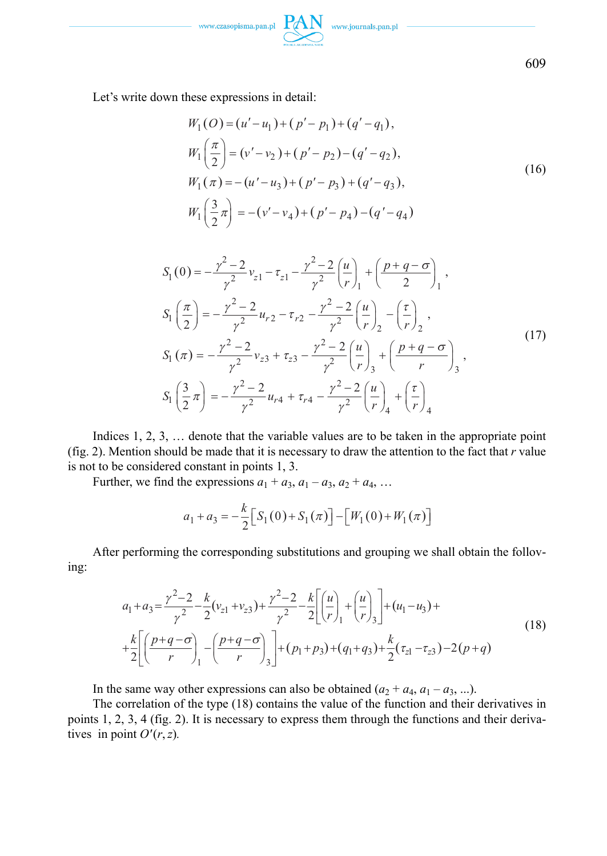

Let's write down these expressions in detail:

$$
W_1(O) = (u'-u_1) + (p'-p_1) + (q'-q_1),
$$
  
\n
$$
W_1\left(\frac{\pi}{2}\right) = (v'-v_2) + (p'-p_2) - (q'-q_2),
$$
  
\n
$$
W_1(\pi) = -(u'-u_3) + (p'-p_3) + (q'-q_3),
$$
  
\n
$$
W_1\left(\frac{3}{2}\pi\right) = -(v'-v_4) + (p'-p_4) - (q'-q_4)
$$
\n(16)

$$
S_{1}(0) = -\frac{\gamma^{2} - 2}{\gamma^{2}} v_{z1} - \tau_{z1} - \frac{\gamma^{2} - 2}{\gamma^{2}} \left(\frac{u}{r}\right)_{1} + \left(\frac{p+q-\sigma}{2}\right)_{1},
$$
  
\n
$$
S_{1}\left(\frac{\pi}{2}\right) = -\frac{\gamma^{2} - 2}{\gamma^{2}} u_{r2} - \tau_{r2} - \frac{\gamma^{2} - 2}{\gamma^{2}} \left(\frac{u}{r}\right)_{2} - \left(\frac{\tau}{r}\right)_{2},
$$
  
\n
$$
S_{1}(\pi) = -\frac{\gamma^{2} - 2}{\gamma^{2}} v_{z3} + \tau_{z3} - \frac{\gamma^{2} - 2}{\gamma^{2}} \left(\frac{u}{r}\right)_{3} + \left(\frac{p+q-\sigma}{r}\right)_{3},
$$
  
\n
$$
S_{1}\left(\frac{3}{2}\pi\right) = -\frac{\gamma^{2} - 2}{\gamma^{2}} u_{r4} + \tau_{r4} - \frac{\gamma^{2} - 2}{\gamma^{2}} \left(\frac{u}{r}\right)_{4} + \left(\frac{\tau}{r}\right)_{4}
$$
 (17)

Indices 1, 2, 3, … denote that the variable values are to be taken in the appropriate point (fig. 2). Mention should be made that it is necessary to draw the attention to the fact that *r* value is not to be considered constant in points 1, 3.

Further, we find the expressions  $a_1 + a_3$ ,  $a_1 - a_3$ ,  $a_2 + a_4$ , ...

$$
a_1 + a_3 = -\frac{k}{2} \Big[ S_1(0) + S_1(\pi) \Big] - \Big[ W_1(0) + W_1(\pi) \Big]
$$

After performing the corresponding substitutions and grouping we shall obtain the folloving:

$$
a_1 + a_3 = \frac{\gamma^2 - 2}{\gamma^2} - \frac{k}{2} (v_{z1} + v_{z3}) + \frac{\gamma^2 - 2}{\gamma^2} - \frac{k}{2} \left[ \left( \frac{u}{r} \right)_1 + \left( \frac{u}{r} \right)_3 \right] + (u_1 - u_3) +
$$
  
+ 
$$
\frac{k}{2} \left[ \left( \frac{p+q-\sigma}{r} \right)_1 - \left( \frac{p+q-\sigma}{r} \right)_3 \right] + (p_1 + p_3) + (q_1 + q_3) + \frac{k}{2} (\tau_{z1} - \tau_{z3}) - 2(p+q)
$$
 (18)

In the same way other expressions can also be obtained  $(a_2 + a_4, a_1 - a_3, \ldots)$ .

The correlation of the type (18) contains the value of the function and their derivatives in points 1, 2, 3, 4 (fig. 2). It is necessary to express them through the functions and their derivatives in point  $O'(r, z)$ .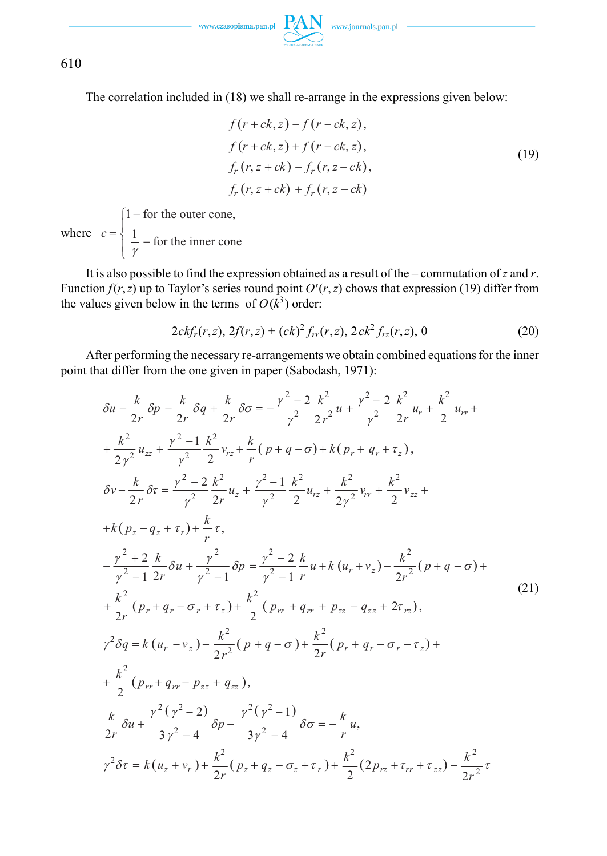The correlation included in (18) we shall re-arrange in the expressions given below:

$$
f(r + ck, z) - f(r - ck, z),
$$
  
\n
$$
f(r + ck, z) + f(r - ck, z),
$$
  
\n
$$
f_r(r, z + ck) - f_r(r, z - ck),
$$
  
\n
$$
f_r(r, z + ck) + f_r(r, z - ck)
$$
\n(19)

where  $1$  – for the outer cone,  $c = \begin{cases} \frac{1}{\gamma} - \text{for the inner cone} \end{cases}$  $=\begin{cases} 1- \\ 1 \end{cases}$  $=\left\{\frac{1}{\gamma}-\right\}$ 

It is also possible to find the expression obtained as a result of the – commutation of *z* and *r*. Function  $f(r, z)$  up to Taylor's series round point  $O'(r, z)$  chows that expression (19) differ from the values given below in the terms of  $O(k^3)$  order:

$$
2ckfr(r, z), 2f(r, z) + (ck)2 frr(r, z), 2ck2 frz(r, z), 0
$$
\n(20)

After performing the necessary re-arrangements we obtain combined equations for the inner point that differ from the one given in paper (Sabodash, 1971):

$$
\delta u - \frac{k}{2r} \delta p - \frac{k}{2r} \delta q + \frac{k}{2r} \delta \sigma = -\frac{\gamma^2 - 2}{\gamma^2} \frac{k^2}{2r^2} u + \frac{\gamma^2 - 2}{\gamma^2} \frac{k^2}{2r} u_r + \frac{k^2}{2} u_{rr} + \frac{k^2}{2\gamma^2} u_{zz} + \frac{\gamma^2 - 1}{\gamma^2} \frac{k^2}{2} v_{rz} + \frac{k}{r} (p + q - \sigma) + k (p_r + q_r + \tau_z),
$$
\n
$$
\delta v - \frac{k}{2r} \delta \tau = \frac{\gamma^2 - 2}{\gamma^2} \frac{k^2}{2r} u_z + \frac{\gamma^2 - 1}{\gamma^2} \frac{k^2}{2} u_{rz} + \frac{k^2}{2\gamma^2} v_{rr} + \frac{k^2}{2} v_{zz} + \frac{k^2}{\gamma^2 - 1} \frac{k^2}{2r} \delta u + \frac{\gamma^2}{\gamma^2 - 1} \frac{k}{2r} \delta u + \frac{\gamma^2}{\gamma^2 - 1} \delta p = \frac{\gamma^2 - 2}{\gamma^2 - 1} \frac{k}{r} u + k (u_r + v_z) - \frac{k^2}{2r^2} (p + q - \sigma) + \frac{k^2}{2r} (p_r + q_r - \sigma_r + \tau_z) + \frac{k^2}{2} (p_r + q_{rr} + p_{zz} - q_{zz} + 2\tau_z),
$$
\n
$$
\gamma^2 \delta q = k (u_r - v_z) - \frac{k^2}{2r^2} (p + q - \sigma) + \frac{k^2}{2r} (p_r + q_r - \sigma_r - \tau_z) + \frac{k^2}{2} (p_{rr} + q_{rr} - p_{zz} + q_{zz}),
$$
\n
$$
\frac{k}{2r} \delta u + \frac{\gamma^2 (\gamma^2 - 2)}{3\gamma^2 - 4} \delta p - \frac{\gamma^2 (\gamma^2 - 1)}{3\gamma^2 - 4} \delta \sigma = -\frac{k}{r} u,
$$
\n
$$
\gamma^2 \delta \tau = k (u_z + v_r) + \frac{k^2}{2r} (p_z + q_z - \sigma_z + \tau_r) + \frac{k^2}{2} (2p_{rz} + \tau_{rr} + \tau_{zz}) - \frac{k^2}{2r^2} \tau
$$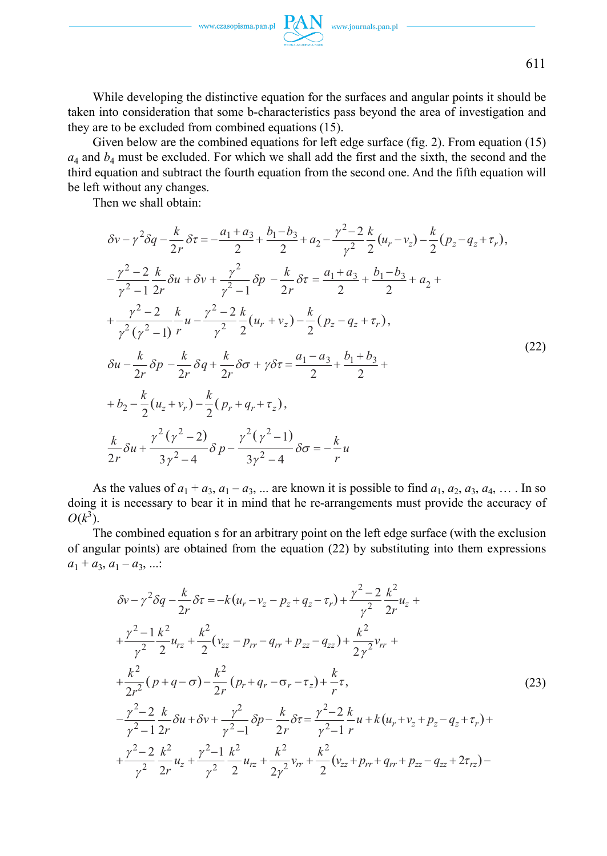While developing the distinctive equation for the surfaces and angular points it should be taken into consideration that some b-characteristics pass beyond the area of investigation and they are to be excluded from combined equations (15).

Given below are the combined equations for left edge surface (fig. 2). From equation (15)  $a_4$  and  $b_4$  must be excluded. For which we shall add the first and the sixth, the second and the third equation and subtract the fourth equation from the second one. And the fifth equation will be left without any changes.

Then we shall obtain:

$$
\delta v - \gamma^2 \delta q - \frac{k}{2r} \delta \tau = -\frac{a_1 + a_3}{2} + \frac{b_1 - b_3}{2} + a_2 - \frac{\gamma^2 - 2}{\gamma^2} \frac{k}{2} (u_r - v_z) - \frac{k}{2} (p_z - q_z + \tau_r),
$$
  
\n
$$
-\frac{\gamma^2 - 2}{\gamma^2 - 1} \frac{k}{2r} \delta u + \delta v + \frac{\gamma^2}{\gamma^2 - 1} \delta p - \frac{k}{2r} \delta \tau = \frac{a_1 + a_3}{2} + \frac{b_1 - b_3}{2} + a_2 +
$$
  
\n
$$
+\frac{\gamma^2 - 2}{\gamma^2} \frac{k}{(\gamma^2 - 1)} u - \frac{\gamma^2 - 2}{\gamma^2} \frac{k}{2} (u_r + v_z) - \frac{k}{2} (p_z - q_z + \tau_r),
$$
  
\n
$$
\delta u - \frac{k}{2r} \delta p - \frac{k}{2r} \delta q + \frac{k}{2r} \delta \sigma + \gamma \delta \tau = \frac{a_1 - a_3}{2} + \frac{b_1 + b_3}{2} +
$$
  
\n
$$
+ b_2 - \frac{k}{2} (u_z + v_r) - \frac{k}{2} (p_r + q_r + \tau_z),
$$
  
\n
$$
\frac{k}{2r} \delta u + \frac{\gamma^2 (\gamma^2 - 2)}{3 \gamma^2 - 4} \delta p - \frac{\gamma^2 (\gamma^2 - 1)}{3 \gamma^2 - 4} \delta \sigma = -\frac{k}{r} u
$$
\n(22)

As the values of  $a_1 + a_3$ ,  $a_1 - a_3$ , ... are known it is possible to find  $a_1, a_2, a_3, a_4, \ldots$ . In so doing it is necessary to bear it in mind that he re-arrangements must provide the accuracy of  $O(k^3)$ .

The combined equation s for an arbitrary point on the left edge surface (with the exclusion of angular points) are obtained from the equation (22) by substituting into them expressions  $a_1 + a_3, a_1 - a_3, \ldots$ 

$$
\delta v - \gamma^2 \delta q - \frac{k}{2r} \delta \tau = -k (u_r - v_z - p_z + q_z - \tau_r) + \frac{\gamma^2 - 2}{\gamma^2} \frac{k^2}{2r} u_z +
$$
  
+ 
$$
\frac{\gamma^2 - 1}{\gamma^2} \frac{k^2}{2} u_{rz} + \frac{k^2}{2} (v_{zz} - p_{rr} - q_{rr} + p_{zz} - q_{zz}) + \frac{k^2}{2\gamma^2} v_{rr} +
$$
  
+ 
$$
\frac{k^2}{2r^2} (p + q - \sigma) - \frac{k^2}{2r} (p_r + q_r - \sigma_r - \tau_z) + \frac{k}{r} \tau,
$$
  
- 
$$
\frac{\gamma^2 - 2}{\gamma^2 - 1} \frac{k}{2r} \delta u + \delta v + \frac{\gamma^2}{\gamma^2 - 1} \delta p - \frac{k}{2r} \delta \tau = \frac{\gamma^2 - 2}{\gamma^2 - 1} \frac{k}{r} u + k (u_r + v_z + p_z - q_z + \tau_r) +
$$
  
+ 
$$
\frac{\gamma^2 - 2}{\gamma^2} \frac{k^2}{2r} u_z + \frac{\gamma^2 - 1}{\gamma^2} \frac{k^2}{2} u_{rz} + \frac{k^2}{2\gamma^2} v_{rr} + \frac{k^2}{2} (v_{zz} + p_{rr} + q_{rr} + p_{zz} - q_{zz} + 2\tau_{rz}) -
$$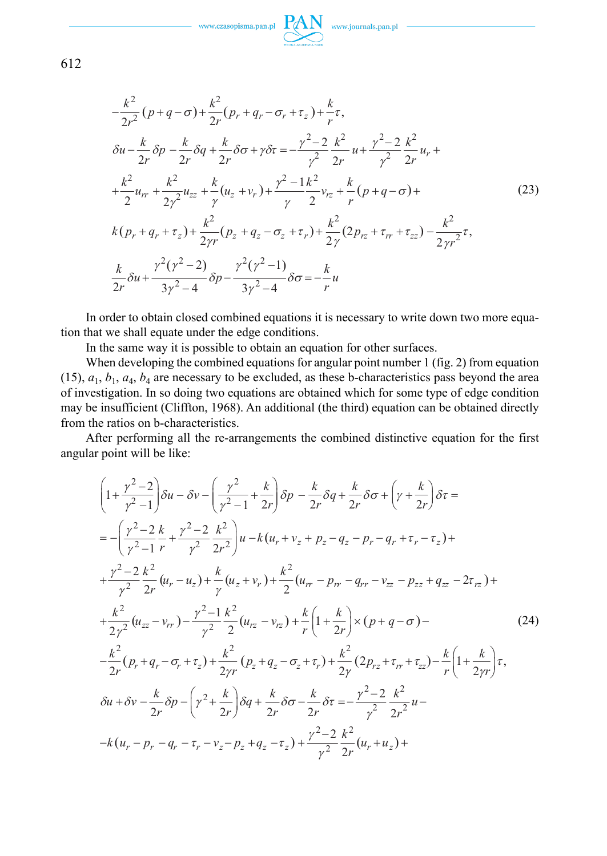

$$
-\frac{k^2}{2r^2}(p+q-\sigma)+\frac{k^2}{2r}(p_r+q_r-\sigma_r+\tau_z)+\frac{k}{r}\tau,
$$
  
\n
$$
\delta u-\frac{k}{2r}\delta p-\frac{k}{2r}\delta q+\frac{k}{2r}\delta \sigma+\gamma \delta \tau=-\frac{\gamma^2-2}{\gamma^2}\frac{k^2}{2r}u+\frac{\gamma^2-2}{\gamma^2}\frac{k^2}{2r}u_r+\frac{k^2}{2}u_{rr}+\frac{k^2}{2\gamma^2}u_{zz}+\frac{k}{\gamma}(u_z+v_r)+\frac{\gamma^2-1}{\gamma}\frac{k^2}{2}v_{rz}+\frac{k}{r}(p+q-\sigma)+
$$
  
\n
$$
k(p_r+q_r+\tau_z)+\frac{k^2}{2\gamma r}(p_z+q_z-\sigma_z+\tau_r)+\frac{k^2}{2\gamma}(2p_{rz}+\tau_{rr}+\tau_{zz})-\frac{k^2}{2\gamma r^2}\tau,
$$
  
\n
$$
\frac{k}{2r}\delta u+\frac{\gamma^2(\gamma^2-2)}{3\gamma^2-4}\delta p-\frac{\gamma^2(\gamma^2-1)}{3\gamma^2-4}\delta \sigma=-\frac{k}{r}u
$$

In order to obtain closed combined equations it is necessary to write down two more equation that we shall equate under the edge conditions.

In the same way it is possible to obtain an equation for other surfaces.

When developing the combined equations for angular point number 1 (fig. 2) from equation  $(15)$ ,  $a_1$ ,  $b_1$ ,  $a_4$ ,  $b_4$  are necessary to be excluded, as these b-characteristics pass beyond the area of investigation. In so doing two equations are obtained which for some type of edge condition may be insufficient (Cliffton, 1968). An additional (the third) equation can be obtained directly from the ratios on b-characteristics.

After performing all the re-arrangements the combined distinctive equation for the first angular point will be like:

$$
\left(1+\frac{\gamma^{2}-2}{\gamma^{2}-1}\right)\delta u-\delta v-\left(\frac{\gamma^{2}}{\gamma^{2}-1}+\frac{k}{2r}\right)\delta p-\frac{k}{2r}\delta q+\frac{k}{2r}\delta \sigma+\left(\gamma+\frac{k}{2r}\right)\delta \tau=
$$
\n
$$
=\left(\frac{\gamma^{2}-2}{\gamma^{2}-1}\frac{k}{r}+\frac{\gamma^{2}-2}{\gamma^{2}}\frac{k^{2}}{2r^{2}}\right)u-k(u_{r}+v_{z}+p_{z}-q_{z}-p_{r}-q_{r}+\tau_{r}-\tau_{z})+\n+ \frac{\gamma^{2}-2}{\gamma^{2}}\frac{k^{2}}{2r}(u_{r}-u_{z})+\frac{k}{\gamma}(u_{z}+v_{r})+\frac{k^{2}}{2}(u_{rr}-p_{rr}-q_{rr}-v_{zz}-p_{zz}+q_{zz}-2\tau_{rz})+\n+ \frac{k^{2}}{2\gamma^{2}}(u_{zz}-v_{rr})-\frac{\gamma^{2}-1}{\gamma^{2}}\frac{k^{2}}{2}(u_{rz}-v_{rz})+\frac{k}{r}\left(1+\frac{k}{2r}\right)\times(p+q-\sigma)-\n- \frac{k^{2}}{2r}(p_{r}+q_{r}-\sigma_{r}+\tau_{z})+\frac{k^{2}}{2\gamma r}(p_{z}+q_{z}-\sigma_{z}+\tau_{r})+\frac{k^{2}}{2\gamma}(2p_{rz}+\tau_{rr}+\tau_{zz})-\frac{k}{r}\left(1+\frac{k}{2\gamma r}\right)\tau,
$$
\n
$$
\delta u+\delta v-\frac{k}{2r}\delta p-\left(\gamma^{2}+\frac{k}{2r}\right)\delta q+\frac{k}{2r}\delta \sigma-\frac{k}{2r}\delta \tau=-\frac{\gamma^{2}-2}{\gamma^{2}}\frac{k^{2}}{2r^{2}}u-\n-k(u_{r}-p_{r}-q_{r}-\tau_{r}-v_{z}-p_{z}+q_{z}-\tau_{z})+\frac{\gamma^{2}-2}{\gamma^{2}}\frac{k^{2}}{2r}(u_{r}+u_{z})+\n+ \frac{\gamma^{2}-2}{\gamma^{2}}\delta \tau-\frac{k}{2r}\delta \tau-\frac{k}{2r}\delta \tau-\frac{k}{r}\delta \tau+\frac{k}{r}\delta \tau.
$$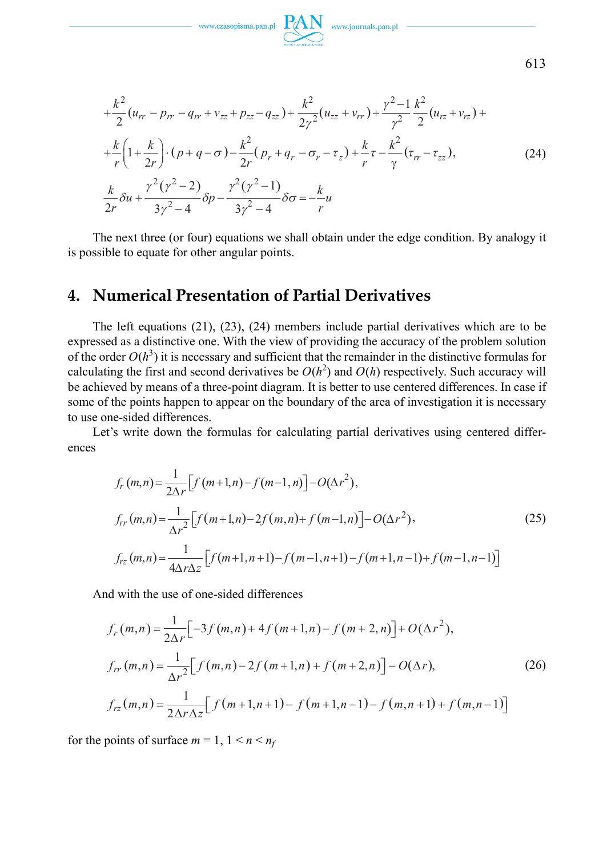$\begin{picture}(120,110) \put(0,0){\vector(1,0){100}} \put(15,0){\vector(1,0){100}} \put(15,0){\vector(1,0){100}} \put(15,0){\vector(1,0){100}} \put(15,0){\vector(1,0){100}} \put(15,0){\vector(1,0){100}} \put(15,0){\vector(1,0){100}} \put(15,0){\vector(1,0){100}} \put(15,0){\vector(1,0){100}} \put(15,0){\vector(1,0){100}} \put(15,0){\vector(1,0){100$ 

$$
+\frac{k^{2}}{2}(u_{rr} - p_{rr} - q_{rr} + v_{zz} + p_{zz} - q_{zz}) + \frac{k^{2}}{2\gamma^{2}}(u_{zz} + v_{rr}) + \frac{\gamma^{2} - 1}{\gamma^{2}}\frac{k^{2}}{2}(u_{rz} + v_{rz}) + + \frac{k}{r}\left(1 + \frac{k}{2r}\right) \cdot (p + q - \sigma) - \frac{k^{2}}{2r}(p_{r} + q_{r} - \sigma_{r} - \tau_{z}) + \frac{k}{r}\tau - \frac{k^{2}}{\gamma}(\tau_{rr} - \tau_{zz}),
$$
\n
$$
\frac{k}{2r}\delta u + \frac{\gamma^{2}(\gamma^{2} - 2)}{3\gamma^{2} - 4}\delta p - \frac{\gamma^{2}(\gamma^{2} - 1)}{3\gamma^{2} - 4}\delta \sigma = -\frac{k}{r}u
$$
\n(24)

The next three (or four) equations we shall obtain under the edge condition. By analogy it is possible to equate for other angular points.

## **4. Numerical Presentation of Partial Derivatives**

The left equations (21), (23), (24) members include partial derivatives which are to be expressed as a distinctive one. With the view of providing the accuracy of the problem solution of the order  $O(h^3)$  it is necessary and sufficient that the remainder in the distinctive formulas for calculating the first and second derivatives be  $O(h^2)$  and  $O(h)$  respectively. Such accuracy will be achieved by means of a three-point diagram. It is better to use centered differences. In case if some of the points happen to appear on the boundary of the area of investigation it is necessary to use one-sided differences.

Let's write down the formulas for calculating partial derivatives using centered differences

$$
f_r(m,n) = \frac{1}{2\Delta r} \Big[ f(m+1,n) - f(m-1,n) \Big] - O(\Delta r^2),
$$
  
\n
$$
f_{rr}(m,n) = \frac{1}{\Delta r^2} \Big[ f(m+1,n) - 2f(m,n) + f(m-1,n) \Big] - O(\Delta r^2),
$$
\n
$$
f_{rz}(m,n) = \frac{1}{4\Delta r \Delta z} \Big[ f(m+1,n+1) - f(m-1,n+1) - f(m+1,n-1) + f(m-1,n-1) \Big]
$$
\n(25)

And with the use of one-sided differences

$$
f_r(m,n) = \frac{1}{2\Delta r} \Big[ -3f(m,n) + 4f(m+1,n) - f(m+2,n) \Big] + O(\Delta r^2),
$$
  
\n
$$
f_{rr}(m,n) = \frac{1}{\Delta r^2} \Big[ f(m,n) - 2f(m+1,n) + f(m+2,n) \Big] - O(\Delta r),
$$
\n
$$
f_{rz}(m,n) = \frac{1}{2\Delta r \Delta z} \Big[ f(m+1,n+1) - f(m+1,n-1) - f(m,n+1) + f(m,n-1) \Big]
$$
\n(26)

for the points of surface  $m = 1, 1 \le n \le n_f$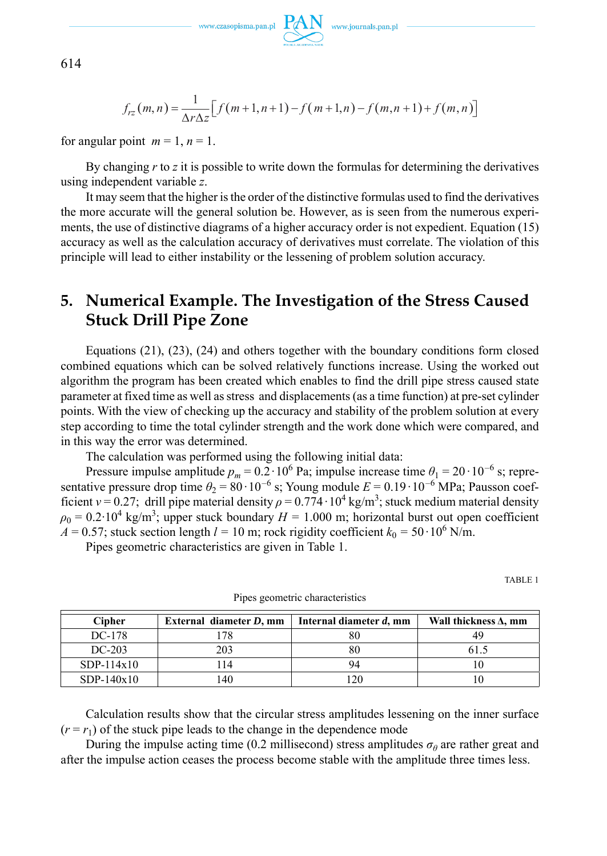

$$
f_{rz}(m,n) = \frac{1}{\Delta r \Delta z} \Big[ f(m+1,n+1) - f(m+1,n) - f(m,n+1) + f(m,n) \Big]
$$

for angular point  $m = 1$ ,  $n = 1$ .

By changing *r* to *z* it is possible to write down the formulas for determining the derivatives using independent variable *z*.

It may seem that the higher is the order of the distinctive formulas used to find the derivatives the more accurate will the general solution be. However, as is seen from the numerous experiments, the use of distinctive diagrams of a higher accuracy order is not expedient. Equation (15) accuracy as well as the calculation accuracy of derivatives must correlate. The violation of this principle will lead to either instability or the lessening of problem solution accuracy.

# **5. Numerical Example. The Investigation of the Stress Caused Stuck Drill Pipe Zone**

Equations (21), (23), (24) and others together with the boundary conditions form closed combined equations which can be solved relatively functions increase. Using the worked out algorithm the program has been created which enables to find the drill pipe stress caused state parameter at fixed time as well as stress and displacements (as a time function) at pre-set cylinder points. With the view of checking up the accuracy and stability of the problem solution at every step according to time the total cylinder strength and the work done which were compared, and in this way the error was determined.

The calculation was performed using the following initial data:

Pressure impulse amplitude  $p_m = 0.2 \cdot 10^6$  Pa; impulse increase time  $\theta_1 = 20 \cdot 10^{-6}$  s; representative pressure drop time  $\theta_2 = 80 \cdot 10^{-6}$  s; Young module  $E = 0.19 \cdot 10^{-6}$  MPa; Pausson coefficient *v* = 0.27; drill pipe material density  $\rho$  = 0.774 · 10<sup>4</sup> kg/m<sup>3</sup>; stuck medium material density  $\rho_0 = 0.2 \cdot 10^4$  kg/m<sup>3</sup>; upper stuck boundary  $H = 1.000$  m; horizontal burst out open coefficient  $A = 0.57$ ; stuck section length  $l = 10$  m; rock rigidity coefficient  $k_0 = 50 \cdot 10^6$  N/m.

Pipes geometric characteristics are given in Table 1.

TABLE 1

| <b>Cipher</b> | External diameter $D$ , mm | Internal diameter d, mm | Wall thickness $\Delta$ , mm |
|---------------|----------------------------|-------------------------|------------------------------|
| DC-178        | 178                        | 80                      |                              |
| $DC-203$      | 203                        | 80                      | 615                          |
| $SDP-114x10$  | 14                         | 94                      |                              |
| $SDP-140x10$  | 140                        | 20                      |                              |

Pipes geometric characteristics

Calculation results show that the circular stress amplitudes lessening on the inner surface  $(r = r_1)$  of the stuck pipe leads to the change in the dependence mode

During the impulse acting time (0.2 millisecond) stress amplitudes  $\sigma_{\theta}$  are rather great and after the impulse action ceases the process become stable with the amplitude three times less.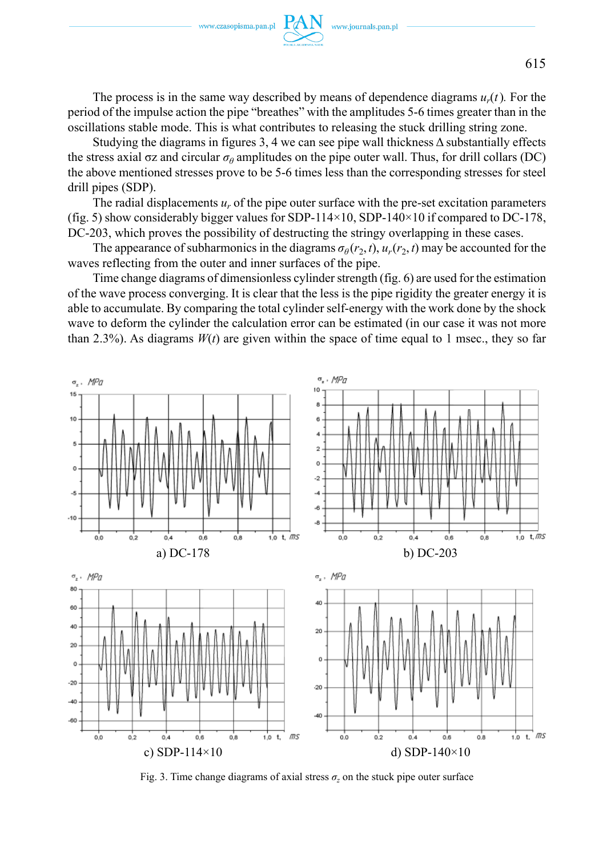www.czasopisma.pan.pl

The process is in the same way described by means of dependence diagrams *ur*(*t*)*.* For the period of the impulse action the pipe "breathes" with the amplitudes 5-6 times greater than in the oscillations stable mode. This is what contributes to releasing the stuck drilling string zone.

Studying the diagrams in figures 3, 4 we can see pipe wall thickness  $\Delta$  substantially effects the stress axial σz and circular  $\sigma_\theta$  amplitudes on the pipe outer wall. Thus, for drill collars (DC) the above mentioned stresses prove to be 5-6 times less than the corresponding stresses for steel drill pipes (SDP).

The radial displacements  $u_r$  of the pipe outer surface with the pre-set excitation parameters (fig. 5) show considerably bigger values for SDP-114 $\times$ 10, SDP-140 $\times$ 10 if compared to DC-178, DC-203, which proves the possibility of destructing the stringy overlapping in these cases.

The appearance of subharmonics in the diagrams  $\sigma_{\theta}(r_2, t)$ ,  $u_r(r_2, t)$  may be accounted for the waves reflecting from the outer and inner surfaces of the pipe.

Time change diagrams of dimensionless cylinder strength (fig. 6) are used for the estimation of the wave process converging. It is clear that the less is the pipe rigidity the greater energy it is able to accumulate. By comparing the total cylinder self-energy with the work done by the shock wave to deform the cylinder the calculation error can be estimated (in our case it was not more than 2.3%). As diagrams  $W(t)$  are given within the space of time equal to 1 msec., they so far



Fig. 3. Time change diagrams of axial stress  $\sigma$ <sup>z</sup> on the stuck pipe outer surface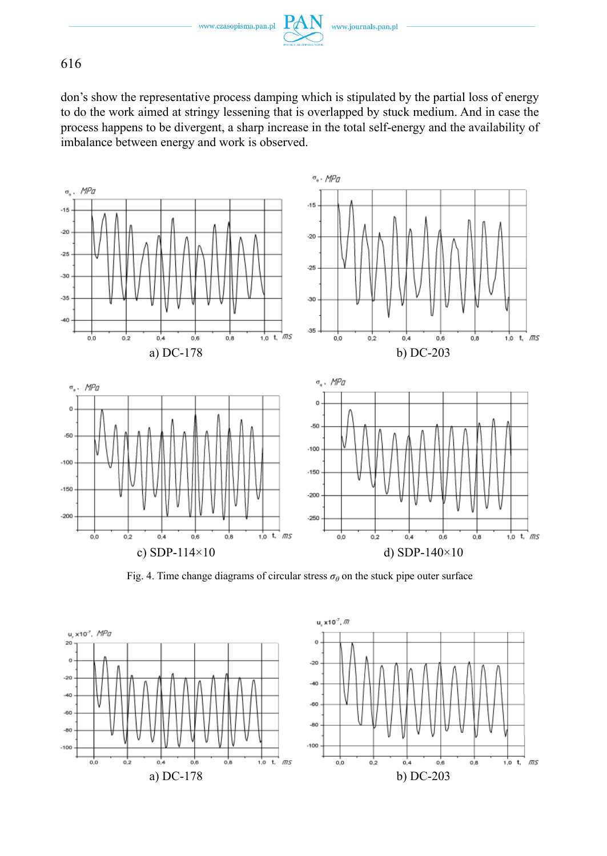don's show the representative process damping which is stipulated by the partial loss of energy to do the work aimed at stringy lessening that is overlapped by stuck medium. And in case the process happens to be divergent, a sharp increase in the total self-energy and the availability of imbalance between energy and work is observed.



Fig. 4. Time change diagrams of circular stress  $\sigma_{\theta}$  on the stuck pipe outer surface

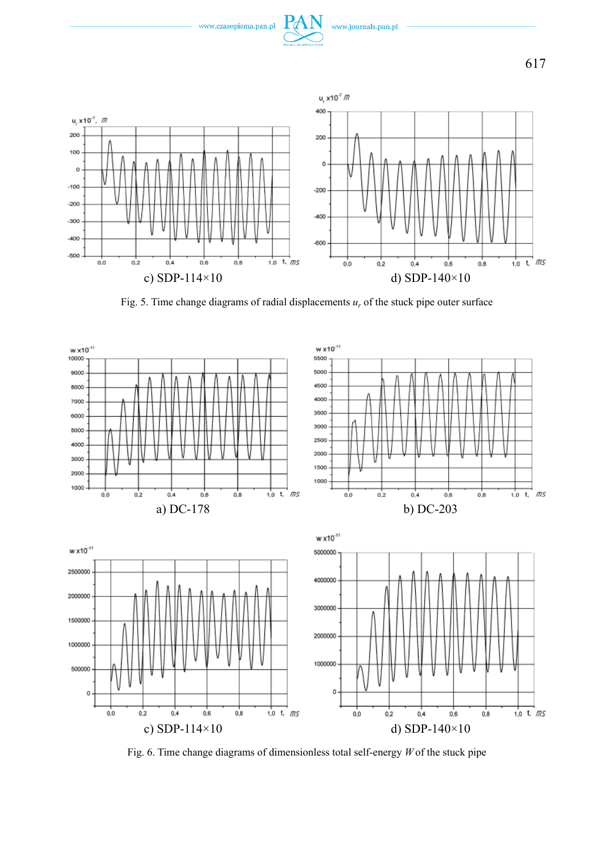



Fig. 5. Time change diagrams of radial displacements  $u_r$  of the stuck pipe outer surface



Fig. 6. Time change diagrams of dimensionless total self-energy *W* of the stuck pipe